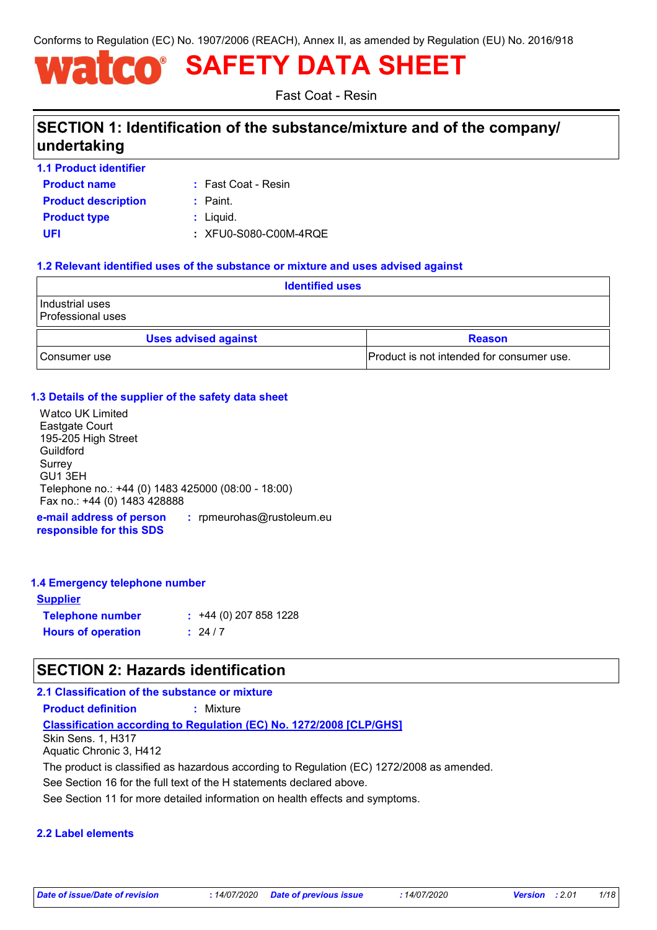Conforms to Regulation (EC) No. 1907/2006 (REACH), Annex II, as amended by Regulation (EU) No. 2016/918

# **SAFETY DATA SHEET**

Fast Coat - Resin

# **SECTION 1: Identification of the substance/mixture and of the company/ undertaking**

| <b>1.1 Product identifier</b> |  |
|-------------------------------|--|
| <b>Product name</b>           |  |

Fast Coat - Resin **:**

| <b>Product description</b> | $:$ Paint.            |
|----------------------------|-----------------------|
| Product type               | : Liquid.             |
| UFI                        | : XFU0-S080-C00M-4RQE |

### **1.2 Relevant identified uses of the substance or mixture and uses advised against**

| <b>Identified uses</b>               |                                           |
|--------------------------------------|-------------------------------------------|
| Industrial uses<br>Professional uses |                                           |
| <b>Uses advised against</b>          | <b>Reason</b>                             |
| ⊧Consumer use                        | Product is not intended for consumer use. |

### **1.3 Details of the supplier of the safety data sheet**

**e-mail address of person :** rpmeurohas@rustoleum.eu Watco UK Limited Eastgate Court 195-205 High Street Guildford Surrey GU1 3EH Telephone no.: +44 (0) 1483 425000 (08:00 - 18:00) Fax no.: +44 (0) 1483 428888

**responsible for this SDS**

### **1.4 Emergency telephone number**

| <b>Supplier</b>           |                        |
|---------------------------|------------------------|
| <b>Telephone number</b>   | $: 44(0)$ 207 858 1228 |
| <b>Hours of operation</b> | : 24/7                 |

# **SECTION 2: Hazards identification**

### **2.1 Classification of the substance or mixture**

**Product definition :** Mixture

### **Classification according to Regulation (EC) No. 1272/2008 [CLP/GHS]**

Skin Sens. 1, H317 Aquatic Chronic 3, H412

The product is classified as hazardous according to Regulation (EC) 1272/2008 as amended.

See Section 16 for the full text of the H statements declared above.

See Section 11 for more detailed information on health effects and symptoms.

### **2.2 Label elements**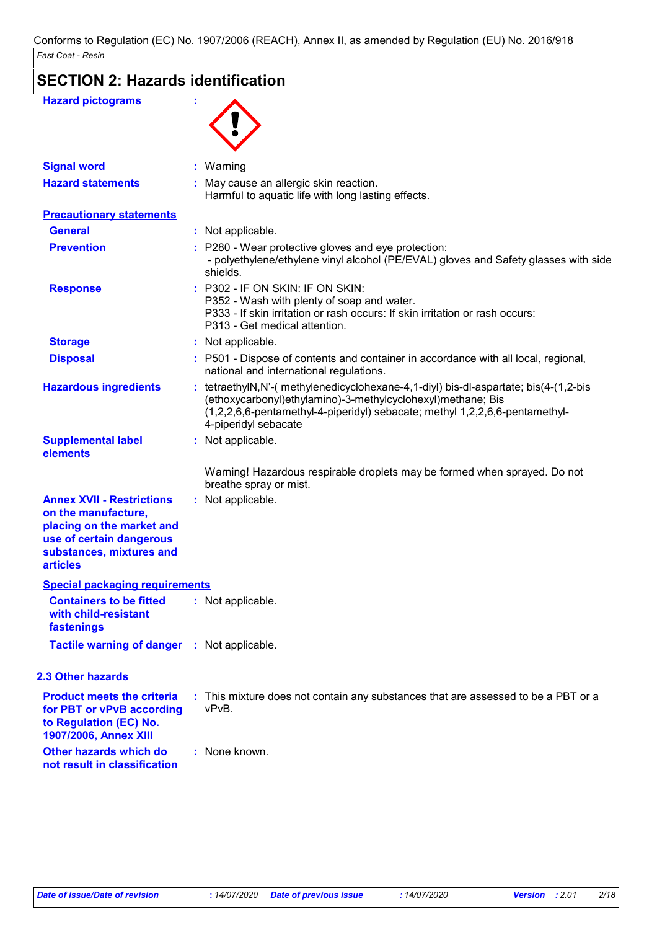| <b>Hazard pictograms</b>                                                                                                                                        |                                                                                                                                                                                                                                                           |
|-----------------------------------------------------------------------------------------------------------------------------------------------------------------|-----------------------------------------------------------------------------------------------------------------------------------------------------------------------------------------------------------------------------------------------------------|
| <b>Signal word</b>                                                                                                                                              | : Warning                                                                                                                                                                                                                                                 |
| <b>Hazard statements</b>                                                                                                                                        | May cause an allergic skin reaction.<br>Harmful to aquatic life with long lasting effects.                                                                                                                                                                |
| <b>Precautionary statements</b>                                                                                                                                 |                                                                                                                                                                                                                                                           |
| <b>General</b>                                                                                                                                                  | : Not applicable.                                                                                                                                                                                                                                         |
| <b>Prevention</b>                                                                                                                                               | : P280 - Wear protective gloves and eye protection:<br>- polyethylene/ethylene vinyl alcohol (PE/EVAL) gloves and Safety glasses with side<br>shields.                                                                                                    |
| <b>Response</b>                                                                                                                                                 | : P302 - IF ON SKIN: IF ON SKIN:<br>P352 - Wash with plenty of soap and water.<br>P333 - If skin irritation or rash occurs: If skin irritation or rash occurs:<br>P313 - Get medical attention.                                                           |
| <b>Storage</b>                                                                                                                                                  | : Not applicable.                                                                                                                                                                                                                                         |
| <b>Disposal</b>                                                                                                                                                 | : P501 - Dispose of contents and container in accordance with all local, regional,<br>national and international regulations.                                                                                                                             |
| <b>Hazardous ingredients</b>                                                                                                                                    | : tetraethylN,N'-(methylenedicyclohexane-4,1-diyl) bis-dl-aspartate; bis(4-(1,2-bis<br>(ethoxycarbonyl)ethylamino)-3-methylcyclohexyl)methane; Bis<br>(1,2,2,6,6-pentamethyl-4-piperidyl) sebacate; methyl 1,2,2,6,6-pentamethyl-<br>4-piperidyl sebacate |
| <b>Supplemental label</b><br>elements                                                                                                                           | : Not applicable.                                                                                                                                                                                                                                         |
|                                                                                                                                                                 | Warning! Hazardous respirable droplets may be formed when sprayed. Do not<br>breathe spray or mist.                                                                                                                                                       |
| <b>Annex XVII - Restrictions</b><br>on the manufacture,<br>placing on the market and<br>use of certain dangerous<br>substances, mixtures and<br><b>articles</b> | : Not applicable.                                                                                                                                                                                                                                         |
| <b>Special packaging requirements</b>                                                                                                                           |                                                                                                                                                                                                                                                           |
| <b>Containers to be fitted</b><br>with child-resistant<br>fastenings                                                                                            | : Not applicable.                                                                                                                                                                                                                                         |
| <b>Tactile warning of danger : Not applicable.</b>                                                                                                              |                                                                                                                                                                                                                                                           |
| <b>2.3 Other hazards</b>                                                                                                                                        |                                                                                                                                                                                                                                                           |
| <b>Product meets the criteria</b><br>for PBT or vPvB according<br>to Regulation (EC) No.<br>1907/2006, Annex XIII                                               | : This mixture does not contain any substances that are assessed to be a PBT or a<br>vPvB.                                                                                                                                                                |
| <b>Other hazards which do</b><br>not result in classification                                                                                                   | : None known.                                                                                                                                                                                                                                             |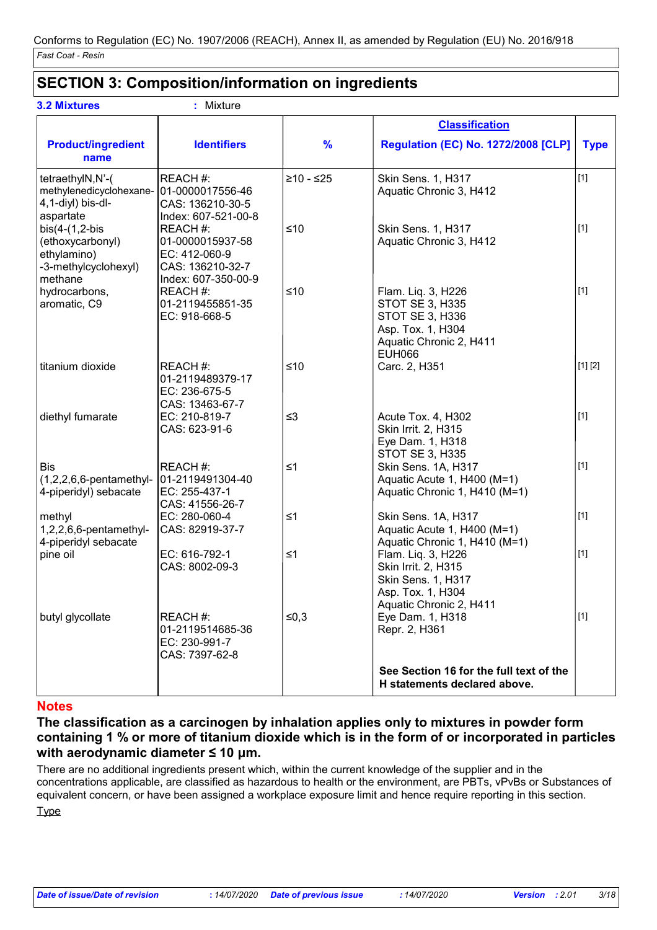# **SECTION 3: Composition/information on ingredients**

| <b>3.2 Mixtures</b>                                                                    | : Mixture                                                                               |               |                                                                                                                           |             |
|----------------------------------------------------------------------------------------|-----------------------------------------------------------------------------------------|---------------|---------------------------------------------------------------------------------------------------------------------------|-------------|
|                                                                                        |                                                                                         |               | <b>Classification</b>                                                                                                     |             |
| <b>Product/ingredient</b><br>name                                                      | <b>Identifiers</b>                                                                      | $\frac{9}{6}$ | <b>Regulation (EC) No. 1272/2008 [CLP]</b>                                                                                | <b>Type</b> |
| tetraethylN,N'-(<br>methylenedicyclohexane-<br>4,1-diyl) bis-dl-<br>aspartate          | REACH #:<br>01-0000017556-46<br>CAS: 136210-30-5<br>Index: 607-521-00-8                 | $≥10 - ≤25$   | Skin Sens. 1, H317<br>Aquatic Chronic 3, H412                                                                             | $[1]$       |
| $bis(4-(1,2-bis$<br>(ethoxycarbonyl)<br>ethylamino)<br>-3-methylcyclohexyl)<br>methane | REACH#:<br>01-0000015937-58<br>EC: 412-060-9<br>CAS: 136210-32-7<br>Index: 607-350-00-9 | $≤10$         | Skin Sens. 1, H317<br>Aquatic Chronic 3, H412                                                                             | $[1]$       |
| hydrocarbons,<br>aromatic, C9                                                          | REACH #:<br>01-2119455851-35<br>EC: 918-668-5                                           | $≤10$         | Flam. Liq. 3, H226<br>STOT SE 3, H335<br>STOT SE 3, H336<br>Asp. Tox. 1, H304<br>Aquatic Chronic 2, H411<br><b>EUH066</b> | $[1]$       |
| titanium dioxide                                                                       | REACH #:<br>01-2119489379-17<br>EC: 236-675-5<br>CAS: 13463-67-7                        | $≤10$         | Carc. 2, H351                                                                                                             | [1] [2]     |
| diethyl fumarate                                                                       | EC: 210-819-7<br>CAS: 623-91-6                                                          | $\leq$ 3      | Acute Tox. 4, H302<br>Skin Irrit. 2, H315<br>Eye Dam. 1, H318<br><b>STOT SE 3, H335</b>                                   | $[1]$       |
| <b>Bis</b><br>$(1,2,2,6,6$ -pentamethyl-<br>4-piperidyl) sebacate                      | REACH #:<br>01-2119491304-40<br>EC: 255-437-1<br>CAS: 41556-26-7                        | $\leq 1$      | Skin Sens. 1A, H317<br>Aquatic Acute 1, H400 (M=1)<br>Aquatic Chronic 1, H410 (M=1)                                       | $[1]$       |
| methyl<br>1,2,2,6,6-pentamethyl-<br>4-piperidyl sebacate                               | EC: 280-060-4<br>CAS: 82919-37-7                                                        | $\leq 1$      | Skin Sens. 1A, H317<br>Aquatic Acute 1, H400 (M=1)<br>Aquatic Chronic 1, H410 (M=1)                                       | $[1]$       |
| pine oil                                                                               | EC: 616-792-1<br>CAS: 8002-09-3                                                         | $\leq 1$      | Flam. Liq. 3, H226<br>Skin Irrit. 2, H315<br>Skin Sens. 1, H317<br>Asp. Tox. 1, H304<br>Aquatic Chronic 2, H411           | $\vert$ [1] |
| butyl glycollate                                                                       | REACH#:<br>01-2119514685-36<br>EC: 230-991-7<br>CAS: 7397-62-8                          | ≤0,3          | Eye Dam. 1, H318<br>Repr. 2, H361                                                                                         | $[1]$       |
|                                                                                        |                                                                                         |               | See Section 16 for the full text of the<br>H statements declared above.                                                   |             |

### **Notes**

**The classification as a carcinogen by inhalation applies only to mixtures in powder form containing 1 % or more of titanium dioxide which is in the form of or incorporated in particles with aerodynamic diameter ≤ 10 μm.**

There are no additional ingredients present which, within the current knowledge of the supplier and in the concentrations applicable, are classified as hazardous to health or the environment, are PBTs, vPvBs or Substances of equivalent concern, or have been assigned a workplace exposure limit and hence require reporting in this section.

**Type**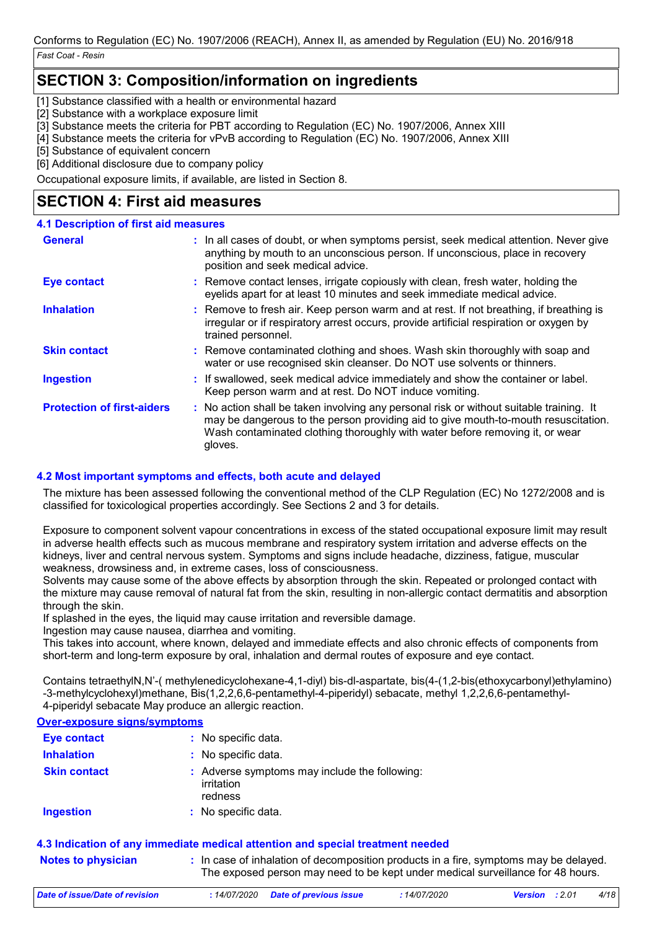# **SECTION 3: Composition/information on ingredients**

[1] Substance classified with a health or environmental hazard

[2] Substance with a workplace exposure limit

[3] Substance meets the criteria for PBT according to Regulation (EC) No. 1907/2006, Annex XIII

[4] Substance meets the criteria for vPvB according to Regulation (EC) No. 1907/2006, Annex XIII

[5] Substance of equivalent concern

[6] Additional disclosure due to company policy

Occupational exposure limits, if available, are listed in Section 8.

# **SECTION 4: First aid measures**

### **4.1 Description of first aid measures**

| <b>General</b>                    | : In all cases of doubt, or when symptoms persist, seek medical attention. Never give<br>anything by mouth to an unconscious person. If unconscious, place in recovery<br>position and seek medical advice.                                                              |
|-----------------------------------|--------------------------------------------------------------------------------------------------------------------------------------------------------------------------------------------------------------------------------------------------------------------------|
| <b>Eye contact</b>                | : Remove contact lenses, irrigate copiously with clean, fresh water, holding the<br>eyelids apart for at least 10 minutes and seek immediate medical advice.                                                                                                             |
| <b>Inhalation</b>                 | : Remove to fresh air. Keep person warm and at rest. If not breathing, if breathing is<br>irregular or if respiratory arrest occurs, provide artificial respiration or oxygen by<br>trained personnel.                                                                   |
| <b>Skin contact</b>               | : Remove contaminated clothing and shoes. Wash skin thoroughly with soap and<br>water or use recognised skin cleanser. Do NOT use solvents or thinners.                                                                                                                  |
| <b>Ingestion</b>                  | : If swallowed, seek medical advice immediately and show the container or label.<br>Keep person warm and at rest. Do NOT induce vomiting.                                                                                                                                |
| <b>Protection of first-aiders</b> | : No action shall be taken involving any personal risk or without suitable training. It<br>may be dangerous to the person providing aid to give mouth-to-mouth resuscitation.<br>Wash contaminated clothing thoroughly with water before removing it, or wear<br>gloves. |

### **4.2 Most important symptoms and effects, both acute and delayed**

The mixture has been assessed following the conventional method of the CLP Regulation (EC) No 1272/2008 and is classified for toxicological properties accordingly. See Sections 2 and 3 for details.

Exposure to component solvent vapour concentrations in excess of the stated occupational exposure limit may result in adverse health effects such as mucous membrane and respiratory system irritation and adverse effects on the kidneys, liver and central nervous system. Symptoms and signs include headache, dizziness, fatigue, muscular weakness, drowsiness and, in extreme cases, loss of consciousness.

Solvents may cause some of the above effects by absorption through the skin. Repeated or prolonged contact with the mixture may cause removal of natural fat from the skin, resulting in non-allergic contact dermatitis and absorption through the skin.

If splashed in the eyes, the liquid may cause irritation and reversible damage.

Ingestion may cause nausea, diarrhea and vomiting.

This takes into account, where known, delayed and immediate effects and also chronic effects of components from short-term and long-term exposure by oral, inhalation and dermal routes of exposure and eye contact.

Contains tetraethylN,N'-( methylenedicyclohexane-4,1-diyl) bis-dl-aspartate, bis(4-(1,2-bis(ethoxycarbonyl)ethylamino) -3-methylcyclohexyl)methane, Bis(1,2,2,6,6-pentamethyl-4-piperidyl) sebacate, methyl 1,2,2,6,6-pentamethyl-4-piperidyl sebacate May produce an allergic reaction.

### **Over-exposure signs/symptoms**

| <b>Eye contact</b>  | : No specific data.                                                    |
|---------------------|------------------------------------------------------------------------|
| <b>Inhalation</b>   | : No specific data.                                                    |
| <b>Skin contact</b> | : Adverse symptoms may include the following:<br>irritation<br>redness |
| <b>Ingestion</b>    | : No specific data.                                                    |

### **4.3 Indication of any immediate medical attention and special treatment needed**

**Notes to physician In case of inhalation of decomposition products in a fire, symptoms may be delayed.** The exposed person may need to be kept under medical surveillance for 48 hours.

| Date of issue/Date of revision | : 14/07/2020 Date of previous issue | <i>14/07/2020</i> | <b>Version</b> : 2.01 | 4/18 |
|--------------------------------|-------------------------------------|-------------------|-----------------------|------|
|                                |                                     |                   |                       |      |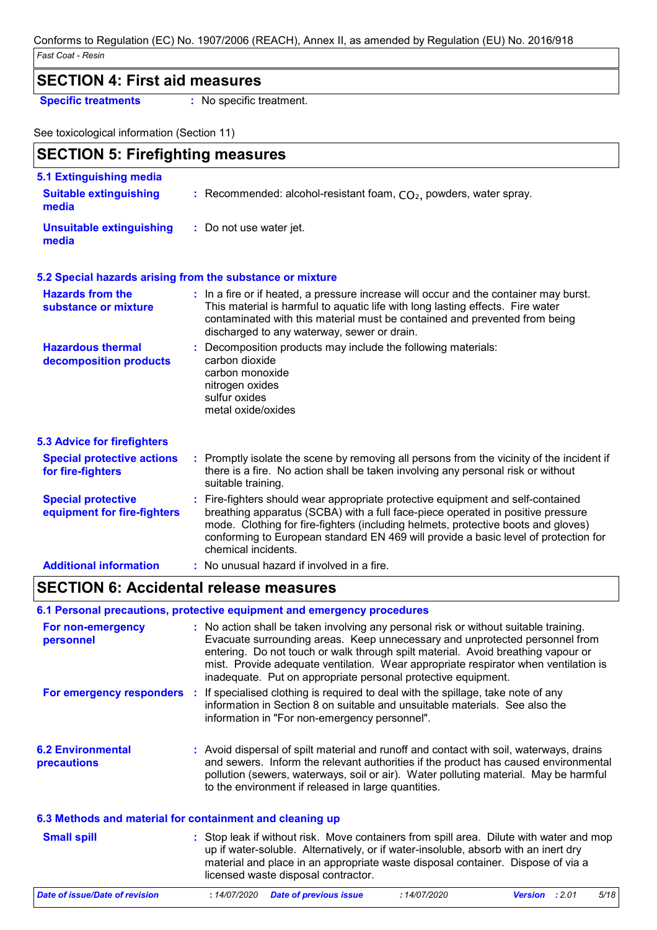### **SECTION 4: First aid measures**

**Specific treatments :** No specific treatment.

See toxicological information (Section 11)

| <b>SECTION 5: Firefighting measures</b>                  |                                                                                                                                                                                                                                                                                                                                                                       |
|----------------------------------------------------------|-----------------------------------------------------------------------------------------------------------------------------------------------------------------------------------------------------------------------------------------------------------------------------------------------------------------------------------------------------------------------|
| 5.1 Extinguishing media                                  |                                                                                                                                                                                                                                                                                                                                                                       |
| <b>Suitable extinguishing</b><br>media                   | : Recommended: alcohol-resistant foam, $CO2$ , powders, water spray.                                                                                                                                                                                                                                                                                                  |
| <b>Unsuitable extinguishing</b><br>media                 | : Do not use water jet.                                                                                                                                                                                                                                                                                                                                               |
|                                                          | 5.2 Special hazards arising from the substance or mixture                                                                                                                                                                                                                                                                                                             |
| <b>Hazards from the</b><br>substance or mixture          | : In a fire or if heated, a pressure increase will occur and the container may burst.<br>This material is harmful to aquatic life with long lasting effects. Fire water<br>contaminated with this material must be contained and prevented from being<br>discharged to any waterway, sewer or drain.                                                                  |
| <b>Hazardous thermal</b><br>decomposition products       | : Decomposition products may include the following materials:<br>carbon dioxide<br>carbon monoxide<br>nitrogen oxides<br>sulfur oxides<br>metal oxide/oxides                                                                                                                                                                                                          |
| <b>5.3 Advice for firefighters</b>                       |                                                                                                                                                                                                                                                                                                                                                                       |
| <b>Special protective actions</b><br>for fire-fighters   | : Promptly isolate the scene by removing all persons from the vicinity of the incident if<br>there is a fire. No action shall be taken involving any personal risk or without<br>suitable training.                                                                                                                                                                   |
| <b>Special protective</b><br>equipment for fire-fighters | : Fire-fighters should wear appropriate protective equipment and self-contained<br>breathing apparatus (SCBA) with a full face-piece operated in positive pressure<br>mode. Clothing for fire-fighters (including helmets, protective boots and gloves)<br>conforming to European standard EN 469 will provide a basic level of protection for<br>chemical incidents. |
| <b>Additional information</b>                            | : No unusual hazard if involved in a fire.                                                                                                                                                                                                                                                                                                                            |

### **SECTION 6: Accidental release measures**

### **6.1 Personal precautions, protective equipment and emergency procedures**

| For non-emergency<br>personnel                           | : No action shall be taken involving any personal risk or without suitable training.<br>Evacuate surrounding areas. Keep unnecessary and unprotected personnel from<br>entering. Do not touch or walk through spilt material. Avoid breathing vapour or<br>mist. Provide adequate ventilation. Wear appropriate respirator when ventilation is<br>inadequate. Put on appropriate personal protective equipment. |  |
|----------------------------------------------------------|-----------------------------------------------------------------------------------------------------------------------------------------------------------------------------------------------------------------------------------------------------------------------------------------------------------------------------------------------------------------------------------------------------------------|--|
| For emergency responders                                 | : If specialised clothing is required to deal with the spillage, take note of any<br>information in Section 8 on suitable and unsuitable materials. See also the<br>information in "For non-emergency personnel".                                                                                                                                                                                               |  |
| <b>6.2 Environmental</b><br><b>precautions</b>           | : Avoid dispersal of spilt material and runoff and contact with soil, waterways, drains<br>and sewers. Inform the relevant authorities if the product has caused environmental<br>pollution (sewers, waterways, soil or air). Water polluting material. May be harmful<br>to the environment if released in large quantities.                                                                                   |  |
| 6.3 Methods and material for containment and cleaning up |                                                                                                                                                                                                                                                                                                                                                                                                                 |  |
| <b>Small spill</b>                                       | : Stop leak if without risk. Move containers from spill area. Dilute with water and mop<br>up if water-soluble. Alternatively, or if water-insoluble, absorb with an inert dry<br>material and place in an appropriate waste disposal container. Dispose of via a<br>licensed waste disposal contractor.                                                                                                        |  |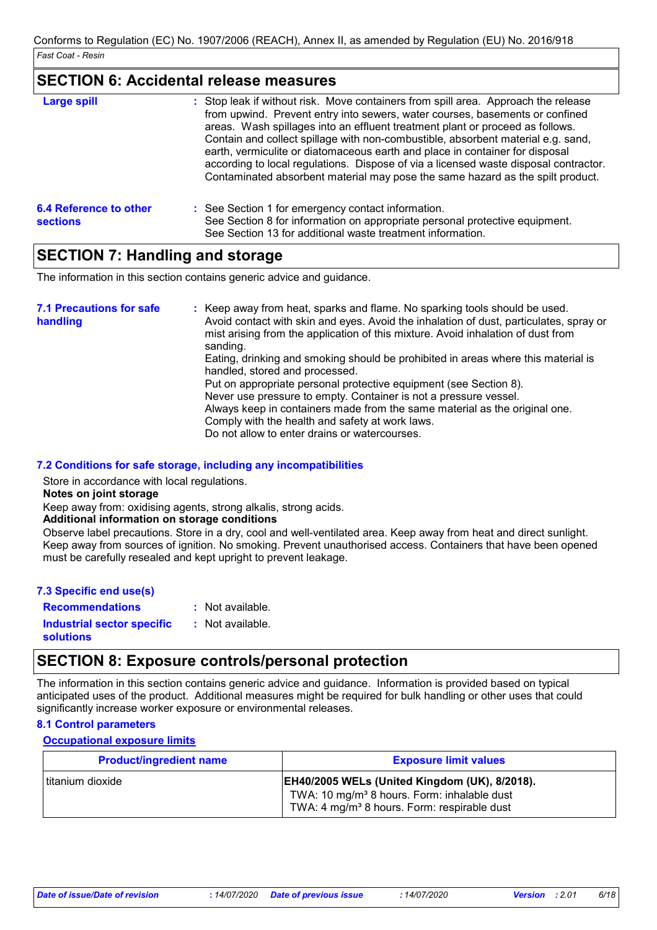### **SECTION 6: Accidental release measures**

| <b>Large spill</b>                               | : Stop leak if without risk. Move containers from spill area. Approach the release<br>from upwind. Prevent entry into sewers, water courses, basements or confined<br>areas. Wash spillages into an effluent treatment plant or proceed as follows.<br>Contain and collect spillage with non-combustible, absorbent material e.g. sand,<br>earth, vermiculite or diatomaceous earth and place in container for disposal<br>according to local regulations. Dispose of via a licensed waste disposal contractor.<br>Contaminated absorbent material may pose the same hazard as the spilt product. |
|--------------------------------------------------|---------------------------------------------------------------------------------------------------------------------------------------------------------------------------------------------------------------------------------------------------------------------------------------------------------------------------------------------------------------------------------------------------------------------------------------------------------------------------------------------------------------------------------------------------------------------------------------------------|
| <b>6.4 Reference to other</b><br><b>sections</b> | : See Section 1 for emergency contact information.<br>See Section 8 for information on appropriate personal protective equipment.<br>See Section 13 for additional waste treatment information.                                                                                                                                                                                                                                                                                                                                                                                                   |

# **SECTION 7: Handling and storage**

The information in this section contains generic advice and guidance.

| sanding.<br>Eating, drinking and smoking should be prohibited in areas where this material is<br>handled, stored and processed.<br>Put on appropriate personal protective equipment (see Section 8).<br>Never use pressure to empty. Container is not a pressure vessel.<br>Always keep in containers made from the same material as the original one.<br>Comply with the health and safety at work laws.<br>Do not allow to enter drains or watercourses. | <b>7.1 Precautions for safe</b><br>handling | : Keep away from heat, sparks and flame. No sparking tools should be used.<br>Avoid contact with skin and eyes. Avoid the inhalation of dust, particulates, spray or<br>mist arising from the application of this mixture. Avoid inhalation of dust from |  |
|------------------------------------------------------------------------------------------------------------------------------------------------------------------------------------------------------------------------------------------------------------------------------------------------------------------------------------------------------------------------------------------------------------------------------------------------------------|---------------------------------------------|----------------------------------------------------------------------------------------------------------------------------------------------------------------------------------------------------------------------------------------------------------|--|
|------------------------------------------------------------------------------------------------------------------------------------------------------------------------------------------------------------------------------------------------------------------------------------------------------------------------------------------------------------------------------------------------------------------------------------------------------------|---------------------------------------------|----------------------------------------------------------------------------------------------------------------------------------------------------------------------------------------------------------------------------------------------------------|--|

### **7.2 Conditions for safe storage, including any incompatibilities**

Store in accordance with local regulations.

**Notes on joint storage**

Keep away from: oxidising agents, strong alkalis, strong acids.

### **Additional information on storage conditions**

Observe label precautions. Store in a dry, cool and well-ventilated area. Keep away from heat and direct sunlight. Keep away from sources of ignition. No smoking. Prevent unauthorised access. Containers that have been opened must be carefully resealed and kept upright to prevent leakage.

| 7.3 Specific end use(s) |  |
|-------------------------|--|
| <b>Recommendations</b>  |  |

: Not available.

**Industrial sector specific : solutions** : Not available.

# **SECTION 8: Exposure controls/personal protection**

The information in this section contains generic advice and guidance. Information is provided based on typical anticipated uses of the product. Additional measures might be required for bulk handling or other uses that could significantly increase worker exposure or environmental releases.

### **8.1 Control parameters**

### **Occupational exposure limits**

| <b>Product/ingredient name</b> | <b>Exposure limit values</b>                                                                                                                                               |
|--------------------------------|----------------------------------------------------------------------------------------------------------------------------------------------------------------------------|
| l titanium dioxide             | <b>EH40/2005 WELs (United Kingdom (UK), 8/2018).</b><br>TWA: 10 mg/m <sup>3</sup> 8 hours. Form: inhalable dust<br>TWA: 4 mg/m <sup>3</sup> 8 hours. Form: respirable dust |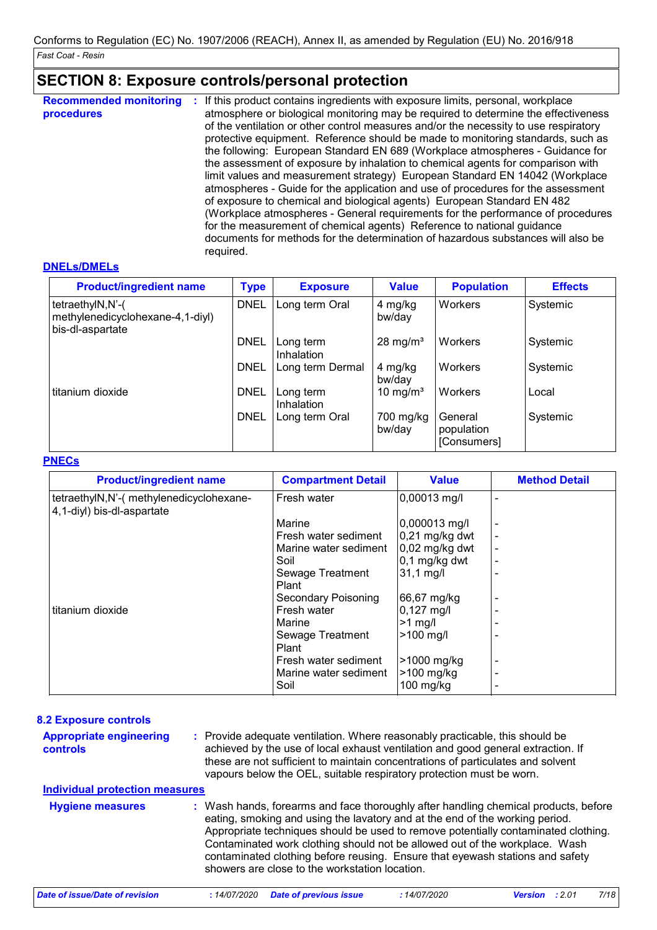# **SECTION 8: Exposure controls/personal protection**

| <b>Recommended monitoring</b><br>procedures | If this product contains ingredients with exposure limits, personal, workplace<br>÷.<br>atmosphere or biological monitoring may be required to determine the effectiveness<br>of the ventilation or other control measures and/or the necessity to use respiratory<br>protective equipment. Reference should be made to monitoring standards, such as<br>the following: European Standard EN 689 (Workplace atmospheres - Guidance for<br>the assessment of exposure by inhalation to chemical agents for comparison with<br>limit values and measurement strategy) European Standard EN 14042 (Workplace<br>atmospheres - Guide for the application and use of procedures for the assessment<br>of exposure to chemical and biological agents) European Standard EN 482<br>(Workplace atmospheres - General requirements for the performance of procedures<br>for the measurement of chemical agents) Reference to national guidance<br>documents for methods for the determination of hazardous substances will also be<br>required. |
|---------------------------------------------|----------------------------------------------------------------------------------------------------------------------------------------------------------------------------------------------------------------------------------------------------------------------------------------------------------------------------------------------------------------------------------------------------------------------------------------------------------------------------------------------------------------------------------------------------------------------------------------------------------------------------------------------------------------------------------------------------------------------------------------------------------------------------------------------------------------------------------------------------------------------------------------------------------------------------------------------------------------------------------------------------------------------------------------|
|---------------------------------------------|----------------------------------------------------------------------------------------------------------------------------------------------------------------------------------------------------------------------------------------------------------------------------------------------------------------------------------------------------------------------------------------------------------------------------------------------------------------------------------------------------------------------------------------------------------------------------------------------------------------------------------------------------------------------------------------------------------------------------------------------------------------------------------------------------------------------------------------------------------------------------------------------------------------------------------------------------------------------------------------------------------------------------------------|

### **DNELs/DMELs**

| <b>Product/ingredient name</b>                                           | <b>Type</b> | <b>Exposure</b>         | <b>Value</b>         | <b>Population</b>                    | <b>Effects</b> |
|--------------------------------------------------------------------------|-------------|-------------------------|----------------------|--------------------------------------|----------------|
| tetraethylN,N'-(<br>methylenedicyclohexane-4,1-diyl)<br>bis-dl-aspartate | <b>DNEL</b> | Long term Oral          | 4 mg/kg<br>bw/day    | Workers                              | Systemic       |
|                                                                          | <b>DNEL</b> | Long term<br>Inhalation | $28 \text{ mg/m}^3$  | Workers                              | Systemic       |
|                                                                          | <b>DNEL</b> | Long term Dermal        | 4 mg/kg<br>bw/day    | Workers                              | Systemic       |
| titanium dioxide                                                         | <b>DNEL</b> | Long term<br>Inhalation | 10 mg/m <sup>3</sup> | Workers                              | Local          |
|                                                                          | <b>DNEL</b> | Long term Oral          | 700 mg/kg<br>bw/day  | General<br>population<br>[Consumers] | Systemic       |

### **PNECs**

| <b>Product/ingredient name</b>                                          | <b>Compartment Detail</b>     | <b>Value</b>              | <b>Method Detail</b> |
|-------------------------------------------------------------------------|-------------------------------|---------------------------|----------------------|
| tetraethylN, N'-( methylenedicyclohexane-<br>4,1-diyl) bis-dl-aspartate | Fresh water                   | 0,00013 mg/l              |                      |
|                                                                         | Marine                        | 0,000013 mg/l             |                      |
|                                                                         | Fresh water sediment          | $0.21$ mg/kg dwt          |                      |
|                                                                         | Marine water sediment         | $0.02$ mg/kg dwt          |                      |
|                                                                         | Soil                          | 0,1 mg/kg dwt             |                      |
|                                                                         | Sewage Treatment<br>Plant     | $31,1 \text{ mg/l}$       |                      |
|                                                                         | Secondary Poisoning           | 66,67 mg/kg               |                      |
| titanium dioxide                                                        | Fresh water                   | $0,127$ mg/l              |                      |
|                                                                         | Marine                        | $>1$ mg/                  |                      |
|                                                                         | Sewage Treatment<br>Plant     | $>100$ mg/l               |                      |
|                                                                         | Fresh water sediment          | >1000 mg/kg               |                      |
|                                                                         | Marine water sediment<br>Soil | $>100$ mg/kg<br>100 mg/kg |                      |

| <b>8.2 Exposure controls</b>               |                                                                                                                                                                                                                                                                                                                                                                                                                                                                             |
|--------------------------------------------|-----------------------------------------------------------------------------------------------------------------------------------------------------------------------------------------------------------------------------------------------------------------------------------------------------------------------------------------------------------------------------------------------------------------------------------------------------------------------------|
| <b>Appropriate engineering</b><br>controls | : Provide adequate ventilation. Where reasonably practicable, this should be<br>achieved by the use of local exhaust ventilation and good general extraction. If<br>these are not sufficient to maintain concentrations of particulates and solvent<br>vapours below the OEL, suitable respiratory protection must be worn.                                                                                                                                                 |
| <b>Individual protection measures</b>      |                                                                                                                                                                                                                                                                                                                                                                                                                                                                             |
| <b>Hygiene measures</b>                    | : Wash hands, forearms and face thoroughly after handling chemical products, before<br>eating, smoking and using the lavatory and at the end of the working period.<br>Appropriate techniques should be used to remove potentially contaminated clothing.<br>Contaminated work clothing should not be allowed out of the workplace. Wash<br>contaminated clothing before reusing. Ensure that eyewash stations and safety<br>showers are close to the workstation location. |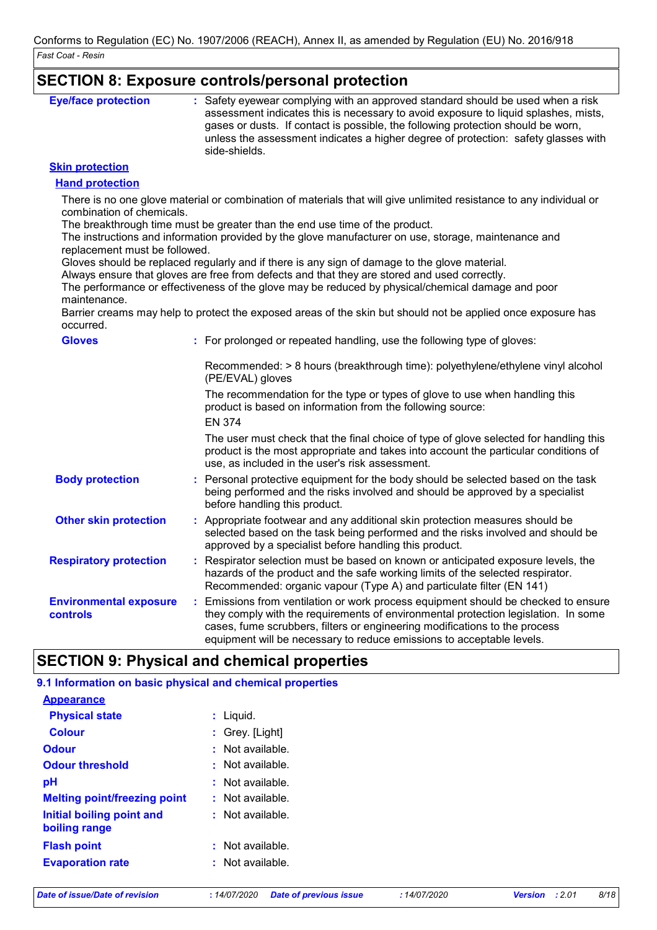### **SECTION 8: Exposure controls/personal protection**

| <b>Eye/face protection</b> | : Safety eyewear complying with an approved standard should be used when a risk<br>assessment indicates this is necessary to avoid exposure to liquid splashes, mists,                  |
|----------------------------|-----------------------------------------------------------------------------------------------------------------------------------------------------------------------------------------|
|                            | gases or dusts. If contact is possible, the following protection should be worn,<br>unless the assessment indicates a higher degree of protection: safety glasses with<br>side-shields. |

### **Skin protection**

### **Hand protection**

There is no one glove material or combination of materials that will give unlimited resistance to any individual or combination of chemicals.

The breakthrough time must be greater than the end use time of the product.

The instructions and information provided by the glove manufacturer on use, storage, maintenance and replacement must be followed.

Gloves should be replaced regularly and if there is any sign of damage to the glove material.

Always ensure that gloves are free from defects and that they are stored and used correctly.

The performance or effectiveness of the glove may be reduced by physical/chemical damage and poor maintenance.

Barrier creams may help to protect the exposed areas of the skin but should not be applied once exposure has occurred.

| <b>Gloves</b>                             | : For prolonged or repeated handling, use the following type of gloves:                                                                                                                                                                                                                                                         |
|-------------------------------------------|---------------------------------------------------------------------------------------------------------------------------------------------------------------------------------------------------------------------------------------------------------------------------------------------------------------------------------|
|                                           | Recommended: > 8 hours (breakthrough time): polyethylene/ethylene vinyl alcohol<br>(PE/EVAL) gloves                                                                                                                                                                                                                             |
|                                           | The recommendation for the type or types of glove to use when handling this<br>product is based on information from the following source:<br><b>EN 374</b>                                                                                                                                                                      |
|                                           | The user must check that the final choice of type of glove selected for handling this<br>product is the most appropriate and takes into account the particular conditions of<br>use, as included in the user's risk assessment.                                                                                                 |
| <b>Body protection</b>                    | : Personal protective equipment for the body should be selected based on the task<br>being performed and the risks involved and should be approved by a specialist<br>before handling this product.                                                                                                                             |
| <b>Other skin protection</b>              | : Appropriate footwear and any additional skin protection measures should be<br>selected based on the task being performed and the risks involved and should be<br>approved by a specialist before handling this product.                                                                                                       |
| <b>Respiratory protection</b>             | : Respirator selection must be based on known or anticipated exposure levels, the<br>hazards of the product and the safe working limits of the selected respirator.<br>Recommended: organic vapour (Type A) and particulate filter (EN 141)                                                                                     |
| <b>Environmental exposure</b><br>controls | : Emissions from ventilation or work process equipment should be checked to ensure<br>they comply with the requirements of environmental protection legislation. In some<br>cases, fume scrubbers, filters or engineering modifications to the process<br>equipment will be necessary to reduce emissions to acceptable levels. |

# **SECTION 9: Physical and chemical properties**

| 9.1 Information on basic physical and chemical properties |  |  |
|-----------------------------------------------------------|--|--|
|                                                           |  |  |
| : Liguid.                                                 |  |  |
| : Grey. $[Light]$                                         |  |  |
| $:$ Not available.                                        |  |  |
| $\cdot$ Not available.                                    |  |  |
| : Not available.                                          |  |  |
| $:$ Not available.                                        |  |  |
| $:$ Not available.                                        |  |  |
| $:$ Not available.                                        |  |  |
| $:$ Not available.                                        |  |  |
|                                                           |  |  |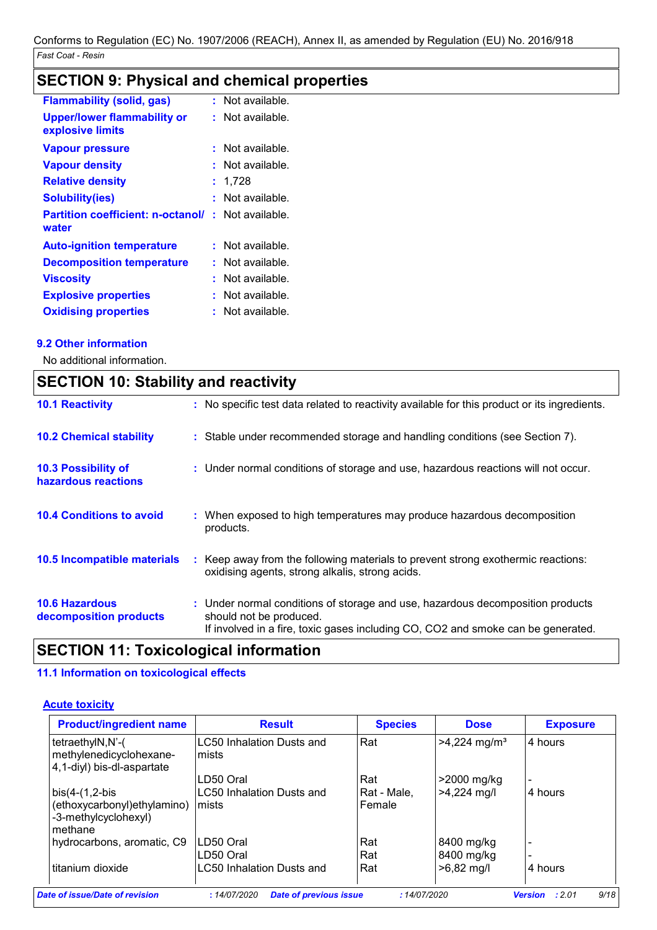# **SECTION 9: Physical and chemical properties**

|    | Not available.       |
|----|----------------------|
|    | Not available.       |
|    | Not available.       |
|    | Not available.       |
|    | 1,728                |
|    | Not available.       |
| t  | Not available.       |
|    | Not available.       |
| ÷. | Not available.       |
|    | Not available.       |
|    | Not available.       |
|    | Not available.       |
|    | t.<br>t.<br>t.<br>t. |

### **9.2 Other information**

Ť

No additional information.

| <b>SECTION 10: Stability and reactivity</b>       |                                                                                                                                                                                               |  |  |  |
|---------------------------------------------------|-----------------------------------------------------------------------------------------------------------------------------------------------------------------------------------------------|--|--|--|
| <b>10.1 Reactivity</b>                            | : No specific test data related to reactivity available for this product or its ingredients.                                                                                                  |  |  |  |
| <b>10.2 Chemical stability</b>                    | : Stable under recommended storage and handling conditions (see Section 7).                                                                                                                   |  |  |  |
| <b>10.3 Possibility of</b><br>hazardous reactions | : Under normal conditions of storage and use, hazardous reactions will not occur.                                                                                                             |  |  |  |
| <b>10.4 Conditions to avoid</b>                   | : When exposed to high temperatures may produce hazardous decomposition<br>products.                                                                                                          |  |  |  |
| <b>10.5 Incompatible materials</b>                | : Keep away from the following materials to prevent strong exothermic reactions:<br>oxidising agents, strong alkalis, strong acids.                                                           |  |  |  |
| <b>10.6 Hazardous</b><br>decomposition products   | : Under normal conditions of storage and use, hazardous decomposition products<br>should not be produced.<br>If involved in a fire, toxic gases including CO, CO2 and smoke can be generated. |  |  |  |

# **SECTION 11: Toxicological information**

### **11.1 Information on toxicological effects**

### **Acute toxicity**

| <b>Product/ingredient name</b>                                            | <b>Result</b>                      | <b>Species</b> | <b>Dose</b>                | <b>Exposure</b> |
|---------------------------------------------------------------------------|------------------------------------|----------------|----------------------------|-----------------|
| tetraethylN,N'-(<br>methylenedicyclohexane-<br>4,1-diyl) bis-dl-aspartate | LC50 Inhalation Dusts and<br>mists | Rat            | $>4,224$ mg/m <sup>3</sup> | 4 hours         |
|                                                                           | LD50 Oral                          | Rat            | >2000 mg/kg                |                 |
| $bis(4-(1,2-bis$                                                          | LC50 Inhalation Dusts and          | Rat - Male.    | $>4,224$ mg/l              | 4 hours         |
| (ethoxycarbonyl) ethylamino)<br>-3-methylcyclohexyl)<br>methane           | mists                              | Female         |                            |                 |
| hydrocarbons, aromatic, C9                                                | LD50 Oral                          | Rat            | 8400 mg/kg                 |                 |
|                                                                           | LD50 Oral                          | Rat            | 8400 mg/kg                 |                 |
| titanium dioxide                                                          | LC50 Inhalation Dusts and          | Rat            | $>6,82$ mg/l               | 4 hours         |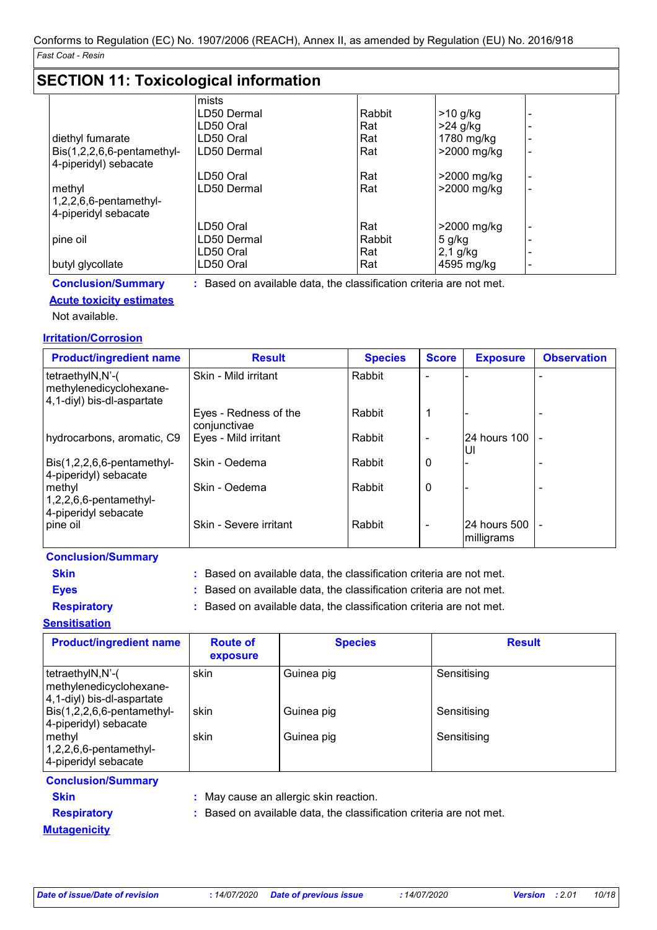# **SECTION 11: Toxicological information**

|                            | mists       |        |               |   |
|----------------------------|-------------|--------|---------------|---|
|                            | LD50 Dermal | Rabbit | $>10$ g/kg    |   |
|                            | LD50 Oral   | Rat    | $>24$ g/kg    |   |
| diethyl fumarate           | LD50 Oral   | Rat    | 1780 mg/kg    |   |
| Bis(1,2,2,6,6-pentamethyl- | LD50 Dermal | Rat    | >2000 mg/kg   | ٠ |
| 4-piperidyl) sebacate      |             |        |               |   |
|                            | LD50 Oral   | Rat    | >2000 mg/kg   |   |
| methyl                     | LD50 Dermal | Rat    | >2000 mg/kg   |   |
| 1,2,2,6,6-pentamethyl-     |             |        |               |   |
| 4-piperidyl sebacate       |             |        |               |   |
|                            | LD50 Oral   | Rat    | $>2000$ mg/kg | ۰ |
| pine oil                   | LD50 Dermal | Rabbit | 5 g/kg        |   |
|                            | LD50 Oral   | Rat    | $2,1$ g/kg    |   |
| butyl glycollate           | LD50 Oral   | Rat    | 4595 mg/kg    |   |

**Conclusion/Summary :** Based on available data, the classification criteria are not met.

### **Acute toxicity estimates**

Not available.

### **Irritation/Corrosion**

| <b>Product/ingredient name</b>                                            | <b>Result</b>                         | <b>Species</b> | <b>Score</b>             | <b>Exposure</b>            | <b>Observation</b> |
|---------------------------------------------------------------------------|---------------------------------------|----------------|--------------------------|----------------------------|--------------------|
| tetraethylN,N'-(<br>methylenedicyclohexane-<br>4,1-diyl) bis-dl-aspartate | Skin - Mild irritant                  | Rabbit         |                          |                            |                    |
|                                                                           | Eyes - Redness of the<br>conjunctivae | Rabbit         | 1                        |                            |                    |
| hydrocarbons, aromatic, C9                                                | Eyes - Mild irritant                  | Rabbit         |                          | 24 hours 100   -<br>UI     |                    |
| Bis(1,2,2,6,6-pentamethyl-<br>4-piperidyl) sebacate                       | Skin - Oedema                         | Rabbit         | 0                        |                            |                    |
| methyl<br>$1,2,2,6,6$ -pentamethyl-<br>4-piperidyl sebacate               | Skin - Oedema                         | Rabbit         | 0                        |                            |                    |
| pine oil                                                                  | Skin - Severe irritant                | Rabbit         | $\overline{\phantom{0}}$ | 24 hours 500<br>milligrams |                    |

| <b>Conclusion/Summary</b> |                                                                     |
|---------------------------|---------------------------------------------------------------------|
| <b>Skin</b>               | : Based on available data, the classification criteria are not met. |
| <b>Eves</b>               | : Based on available data, the classification criteria are not met. |
| <b>Respiratory</b>        | : Based on available data, the classification criteria are not met. |
| Sansitisation             |                                                                     |

### **Sensitisation**

| <b>Product/ingredient name</b>                                            | <b>Route of</b><br>exposure | <b>Species</b> | <b>Result</b> |
|---------------------------------------------------------------------------|-----------------------------|----------------|---------------|
| tetraethylN,N'-(<br>methylenedicyclohexane-<br>4,1-diyl) bis-dl-aspartate | skin                        | Guinea pig     | Sensitising   |
| Bis(1,2,2,6,6-pentamethyl-<br>4-piperidyl) sebacate                       | skin                        | Guinea pig     | Sensitising   |
| methyl<br>$1,2,2,6,6$ -pentamethyl-<br>4-piperidyl sebacate               | skin                        | Guinea pig     | Sensitising   |

### **Conclusion/Summary**

- 
- **Skin :** May cause an allergic skin reaction.
- 
- **Respiratory :** Based on available data, the classification criteria are not met.

### **Mutagenicity**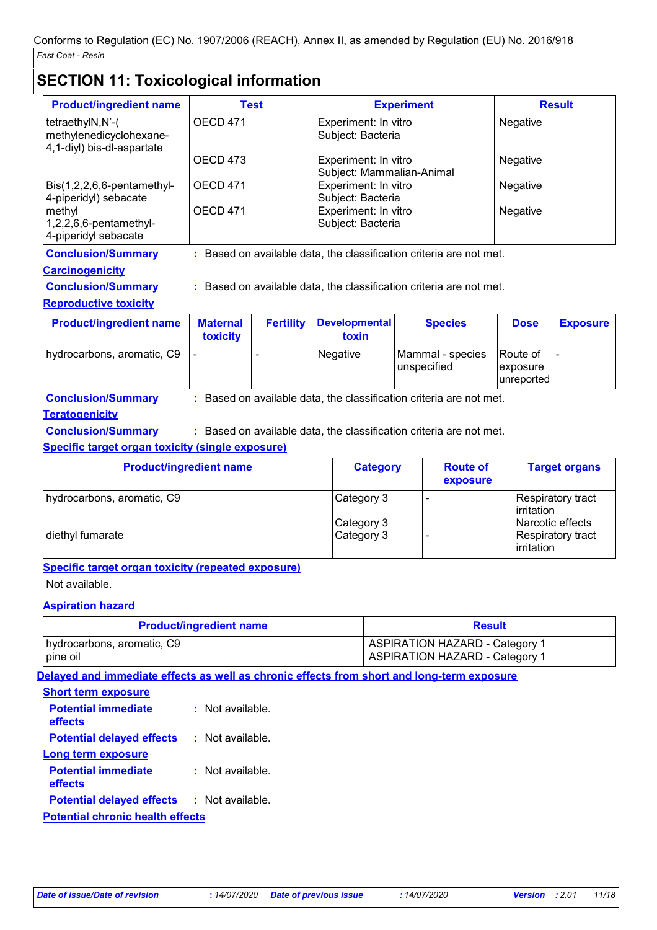# **SECTION 11: Toxicological information**

| <b>Product/ingredient name</b>                                            | Test            | <b>Experiment</b>                                 | <b>Result</b> |
|---------------------------------------------------------------------------|-----------------|---------------------------------------------------|---------------|
| tetraethylN,N'-(<br>methylenedicyclohexane-<br>4,1-diyl) bis-dl-aspartate | <b>OECD 471</b> | Experiment: In vitro<br>Subject: Bacteria         | Negative      |
|                                                                           | OECD 473        | Experiment: In vitro<br>Subject: Mammalian-Animal | Negative      |
| $Dis(1,2,2,6,6-pentament$<br>4-piperidyl) sebacate                        | <b>OECD 471</b> | Experiment: In vitro<br>Subject: Bacteria         | Negative      |
| methyl<br>$1,2,2,6,6$ -pentamethyl-<br>4-piperidyl sebacate               | <b>OECD 471</b> | Experiment: In vitro<br>Subject: Bacteria         | Negative      |

**Conclusion/Summary :** Based on available data, the classification criteria are not met.

### **Carcinogenicity**

**Conclusion/Summary :** Based on available data, the classification criteria are not met.

### **Reproductive toxicity**

| <b>Product/ingredient name</b> | <b>Maternal</b><br>toxicity | <b>Fertility</b> | <b>Developmental</b><br>toxin | <b>Species</b>                   | <b>Dose</b>                                | <b>Exposure</b> |
|--------------------------------|-----------------------------|------------------|-------------------------------|----------------------------------|--------------------------------------------|-----------------|
| hydrocarbons, aromatic, C9     |                             |                  | Negative                      | Mammal - species<br>lunspecified | <b>Route of</b><br>exposure<br>lunreported |                 |

**Conclusion/Summary :** Based on available data, the classification criteria are not met.

### **Teratogenicity**

**Conclusion/Summary :** Based on available data, the classification criteria are not met.

### **Specific target organ toxicity (single exposure)**

| <b>Product/ingredient name</b> | <b>Category</b>          | <b>Route of</b><br>exposure | <b>Target organs</b>                                       |
|--------------------------------|--------------------------|-----------------------------|------------------------------------------------------------|
| hydrocarbons, aromatic, C9     | Category 3               |                             | Respiratory tract<br>irritation                            |
| diethyl fumarate               | Category 3<br>Category 3 |                             | Narcotic effects<br><b>Respiratory tract</b><br>irritation |

### **Specific target organ toxicity (repeated exposure)**

Not available.

### **Aspiration hazard**

| <b>Product/ingredient name</b> | <b>Result</b>                         |
|--------------------------------|---------------------------------------|
| hydrocarbons, aromatic, C9     | <b>ASPIRATION HAZARD - Category 1</b> |
| pine oil                       | <b>ASPIRATION HAZARD - Category 1</b> |

**Delayed and immediate effects as well as chronic effects from short and long-term exposure**

| <b>Short term exposure</b>              |                    |
|-----------------------------------------|--------------------|
| <b>Potential immediate</b><br>effects   | Not available.     |
| <b>Potential delayed effects</b>        | Not available.     |
| Long term exposure                      |                    |
| <b>Potential immediate</b><br>effects   | $:$ Not available. |
| <b>Potential delayed effects</b>        | : Not available.   |
| <b>Potential chronic health effects</b> |                    |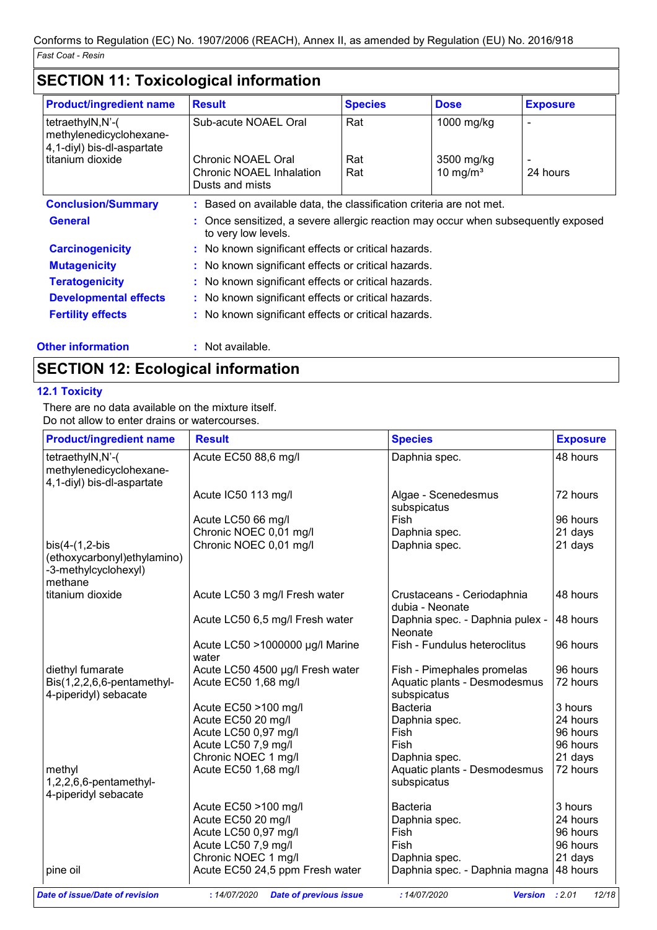| <b>Product/ingredient name</b>                                            | <b>Result</b>                                                                                            | <b>Species</b> | <b>Dose</b> | <b>Exposure</b> |
|---------------------------------------------------------------------------|----------------------------------------------------------------------------------------------------------|----------------|-------------|-----------------|
| tetraethylN,N'-(<br>methylenedicyclohexane-<br>4,1-diyl) bis-dl-aspartate | Sub-acute NOAEL Oral                                                                                     | Rat            | 1000 mg/kg  |                 |
| titanium dioxide                                                          | Chronic NOAEL Oral                                                                                       | Rat            | 3500 mg/kg  |                 |
|                                                                           | Chronic NOAEL Inhalation<br>Dusts and mists                                                              | Rat            | 10 mg/ $m3$ | 24 hours        |
| <b>Conclusion/Summary</b>                                                 | : Based on available data, the classification criteria are not met.                                      |                |             |                 |
| <b>General</b>                                                            | : Once sensitized, a severe allergic reaction may occur when subsequently exposed<br>to very low levels. |                |             |                 |
| <b>Carcinogenicity</b>                                                    | : No known significant effects or critical hazards.                                                      |                |             |                 |
| <b>Mutagenicity</b>                                                       | : No known significant effects or critical hazards.                                                      |                |             |                 |
| <b>Teratogenicity</b>                                                     | : No known significant effects or critical hazards.                                                      |                |             |                 |
| <b>Developmental effects</b>                                              | : No known significant effects or critical hazards.                                                      |                |             |                 |
| <b>Fertility effects</b>                                                  | : No known significant effects or critical hazards.                                                      |                |             |                 |
| <b>Other information</b>                                                  | : Not available.                                                                                         |                |             |                 |

# **SECTION 12: Ecological information**

### **12.1 Toxicity**

There are no data available on the mixture itself. Do not allow to enter drains or watercourses.

| <b>Product/ingredient name</b>                                                      | <b>Result</b>                            | <b>Species</b>                                | <b>Exposure</b> |
|-------------------------------------------------------------------------------------|------------------------------------------|-----------------------------------------------|-----------------|
| tetraethylN,N'-(<br>methylenedicyclohexane-<br>4,1-diyl) bis-dl-aspartate           | Acute EC50 88,6 mg/l                     | Daphnia spec.                                 | 48 hours        |
|                                                                                     | Acute IC50 113 mg/l                      | Algae - Scenedesmus<br>subspicatus            | 72 hours        |
|                                                                                     | Acute LC50 66 mg/l                       | Fish                                          | 96 hours        |
|                                                                                     | Chronic NOEC 0,01 mg/l                   | Daphnia spec.                                 | 21 days         |
| $bis(4-(1,2-bis$<br>(ethoxycarbonyl) ethylamino)<br>-3-methylcyclohexyl)<br>methane | Chronic NOEC 0,01 mg/l                   | Daphnia spec.                                 | 21 days         |
| titanium dioxide                                                                    | Acute LC50 3 mg/l Fresh water            | Crustaceans - Ceriodaphnia<br>dubia - Neonate | 48 hours        |
|                                                                                     | Acute LC50 6,5 mg/l Fresh water          | Daphnia spec. - Daphnia pulex -<br>Neonate    | 48 hours        |
|                                                                                     | Acute LC50 >1000000 µg/l Marine<br>water | Fish - Fundulus heteroclitus                  | 96 hours        |
| diethyl fumarate                                                                    | Acute LC50 4500 µg/l Fresh water         | Fish - Pimephales promelas                    | 96 hours        |
| Bis(1,2,2,6,6-pentamethyl-<br>4-piperidyl) sebacate                                 | Acute EC50 1,68 mg/l                     | Aquatic plants - Desmodesmus<br>subspicatus   | 72 hours        |
|                                                                                     | Acute EC50 >100 mg/l                     | <b>Bacteria</b>                               | 3 hours         |
|                                                                                     | Acute EC50 20 mg/l                       | Daphnia spec.                                 | 24 hours        |
|                                                                                     | Acute LC50 0,97 mg/l                     | Fish                                          | 96 hours        |
|                                                                                     | Acute LC50 7,9 mg/l                      | Fish                                          | 96 hours        |
|                                                                                     | Chronic NOEC 1 mg/l                      | Daphnia spec.                                 | 21 days         |
| methyl<br>1,2,2,6,6-pentamethyl-<br>4-piperidyl sebacate                            | Acute EC50 1,68 mg/l                     | Aquatic plants - Desmodesmus<br>subspicatus   | 72 hours        |
|                                                                                     | Acute EC50 >100 mg/l                     | <b>Bacteria</b>                               | 3 hours         |
|                                                                                     | Acute EC50 20 mg/l                       | Daphnia spec.                                 | 24 hours        |
|                                                                                     | Acute LC50 0,97 mg/l                     | Fish                                          | 96 hours        |
|                                                                                     | Acute LC50 7,9 mg/l                      | Fish                                          | 96 hours        |
|                                                                                     | Chronic NOEC 1 mg/l                      | Daphnia spec.                                 | 21 days         |
| pine oil                                                                            | Acute EC50 24,5 ppm Fresh water          | Daphnia spec. - Daphnia magna                 | 48 hours        |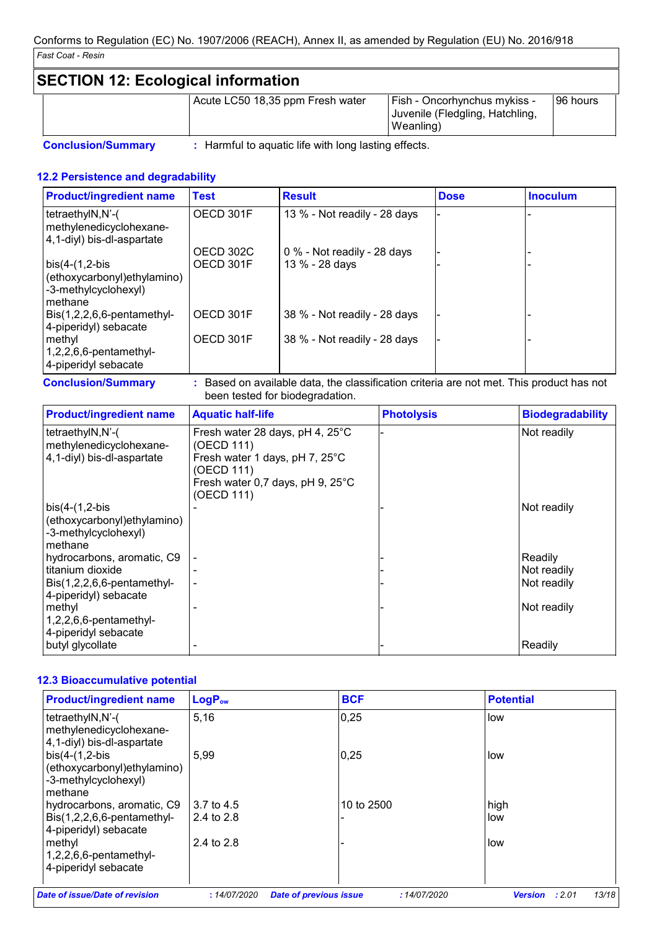# **SECTION 12: Ecological information**

| Acute LC50 18,35 ppm Fresh water | <b>Fish - Oncorhynchus mykiss -</b><br>Juvenile (Fledgling, Hatchling,<br>Weanling) | 196 hours |
|----------------------------------|-------------------------------------------------------------------------------------|-----------|
|----------------------------------|-------------------------------------------------------------------------------------|-----------|

**Conclusion/Summary :** Harmful to aquatic life with long lasting effects.

### **12.2 Persistence and degradability**

| <b>Product/ingredient name</b>                                                      | <b>Test</b> | <b>Result</b>                 | <b>Dose</b> | <b>Inoculum</b> |
|-------------------------------------------------------------------------------------|-------------|-------------------------------|-------------|-----------------|
| tetraethylN,N'-(<br>methylenedicyclohexane-<br>4,1-diyl) bis-dl-aspartate           | OECD 301F   | 13 % - Not readily - 28 days  |             |                 |
|                                                                                     | OECD 302C   | $0\%$ - Not readily - 28 days |             |                 |
| $bis(4-(1,2-bis$<br>(ethoxycarbonyl) ethylamino)<br>-3-methylcyclohexyl)<br>methane | OECD 301F   | 13 % - 28 days                |             |                 |
| $Dis(1,2,2,6,6-pentamethyl-$<br>4-piperidyl) sebacate                               | OECD 301F   | 38 % - Not readily - 28 days  |             |                 |
| methyl<br>$1,2,2,6,6$ -pentamethyl-<br>4-piperidyl sebacate                         | OECD 301F   | 38 % - Not readily - 28 days  |             |                 |

**Conclusion/Summary :** Based on available data, the classification criteria are not met. This product has not been tested for biodegradation.

| <b>Product/ingredient name</b>                                                                        | <b>Aquatic half-life</b>                                                                                                                                  | <b>Photolysis</b> | <b>Biodegradability</b>               |
|-------------------------------------------------------------------------------------------------------|-----------------------------------------------------------------------------------------------------------------------------------------------------------|-------------------|---------------------------------------|
| tetraethylN,N'-(<br>methylenedicyclohexane-<br>4,1-diyl) bis-dl-aspartate                             | Fresh water 28 days, pH 4, 25°C<br>(OECD 111)<br>Fresh water 1 days, pH 7, 25°C<br>(OECD 111)<br>Fresh water 0,7 days, pH 9, $25^{\circ}$ C<br>(OECD 111) |                   | Not readily                           |
| $\vert$ bis(4-(1,2-bis<br>(ethoxycarbonyl) ethylamino)<br>-3-methylcyclohexyl)<br>methane             |                                                                                                                                                           |                   | Not readily                           |
| hydrocarbons, aromatic, C9<br>titanium dioxide<br>Bis(1,2,2,6,6-pentamethyl-<br>4-piperidyl) sebacate |                                                                                                                                                           |                   | Readily<br>Not readily<br>Not readily |
| methyl<br>$1,2,2,6,6$ -pentamethyl-<br>4-piperidyl sebacate<br>butyl glycollate                       |                                                                                                                                                           |                   | Not readily<br>Readily                |

### **12.3 Bioaccumulative potential**

| <b>Product/ingredient name</b>                                                      | LogP <sub>ow</sub> | <b>BCF</b>                    | <b>Potential</b>                                 |
|-------------------------------------------------------------------------------------|--------------------|-------------------------------|--------------------------------------------------|
| tetraethylN,N'-(<br>methylenedicyclohexane-<br>4,1-diyl) bis-dl-aspartate           | 5,16               | 0,25                          | low                                              |
| $bis(4-(1,2-bis$<br>(ethoxycarbonyl) ethylamino)<br>-3-methylcyclohexyl)<br>methane | 5,99               | 0,25                          | low                                              |
| hydrocarbons, aromatic, C9                                                          | 3.7 to 4.5         | 10 to 2500                    | high                                             |
| $ Bis(1,2,2,6,6-pentament$<br>4-piperidyl) sebacate                                 | 2.4 to 2.8         |                               | low                                              |
| methyl<br>$1,2,2,6,6$ -pentamethyl-<br>4-piperidyl sebacate                         | 2.4 to 2.8         |                               | low                                              |
| Date of issue/Date of revision                                                      | :14/07/2020        | <b>Date of previous issue</b> | 13/18<br>:14/07/2020<br><b>Version</b><br>: 2.01 |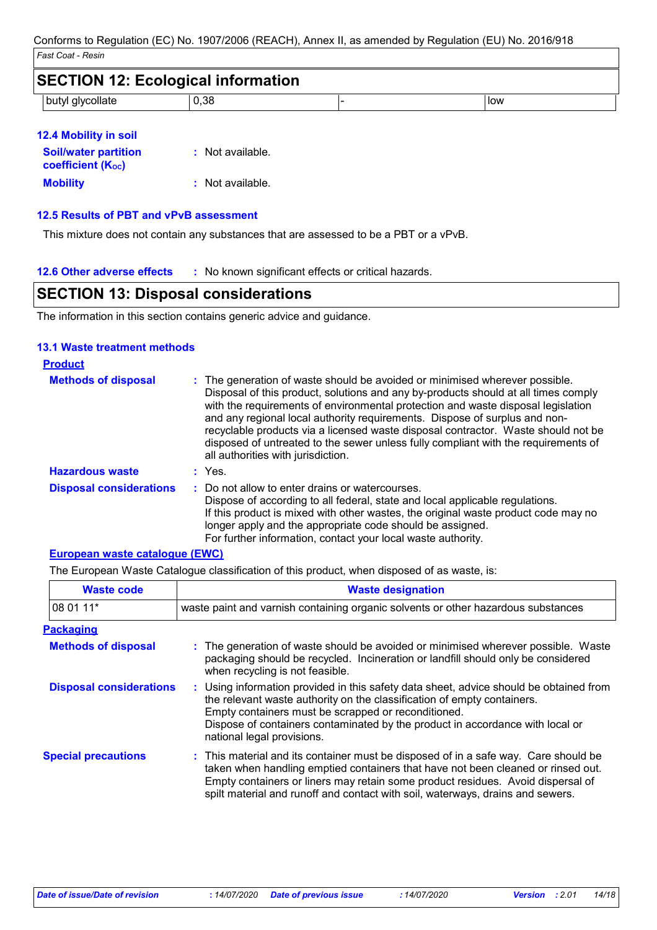| <b>SECTION 12: Ecological information</b> |      |     |
|-------------------------------------------|------|-----|
| butyl glycollate                          | 0.38 | low |

| 12.4 Mobility in soil                                                |                  |
|----------------------------------------------------------------------|------------------|
| <b>Soil/water partition</b><br><b>coefficient</b> (K <sub>oc</sub> ) | : Not available. |
| <b>Mobility</b>                                                      | : Not available. |

#### **12.5 Results of PBT and vPvB assessment**

This mixture does not contain any substances that are assessed to be a PBT or a vPvB.

### **SECTION 13: Disposal considerations**

The information in this section contains generic advice and guidance.

### **13.1 Waste treatment methods**

| <b>Product</b>                 |                                                                                                                                                                                                                                                                                                                                                                                                                                                                                                                                                      |
|--------------------------------|------------------------------------------------------------------------------------------------------------------------------------------------------------------------------------------------------------------------------------------------------------------------------------------------------------------------------------------------------------------------------------------------------------------------------------------------------------------------------------------------------------------------------------------------------|
| <b>Methods of disposal</b>     | : The generation of waste should be avoided or minimised wherever possible.<br>Disposal of this product, solutions and any by-products should at all times comply<br>with the requirements of environmental protection and waste disposal legislation<br>and any regional local authority requirements. Dispose of surplus and non-<br>recyclable products via a licensed waste disposal contractor. Waste should not be<br>disposed of untreated to the sewer unless fully compliant with the requirements of<br>all authorities with jurisdiction. |
| <b>Hazardous waste</b>         | : Yes.                                                                                                                                                                                                                                                                                                                                                                                                                                                                                                                                               |
| <b>Disposal considerations</b> | : Do not allow to enter drains or watercourses.<br>Dispose of according to all federal, state and local applicable regulations.<br>If this product is mixed with other wastes, the original waste product code may no<br>longer apply and the appropriate code should be assigned.<br>For further information, contact your local waste authority.                                                                                                                                                                                                   |

#### **European waste catalogue (EWC)**

The European Waste Catalogue classification of this product, when disposed of as waste, is:

| <b>Waste code</b>              | <b>Waste designation</b>                                                                                                                                                                                                                                                                                                                     |  |  |
|--------------------------------|----------------------------------------------------------------------------------------------------------------------------------------------------------------------------------------------------------------------------------------------------------------------------------------------------------------------------------------------|--|--|
| 08 01 11*                      | waste paint and varnish containing organic solvents or other hazardous substances                                                                                                                                                                                                                                                            |  |  |
| <b>Packaging</b>               |                                                                                                                                                                                                                                                                                                                                              |  |  |
| <b>Methods of disposal</b>     | : The generation of waste should be avoided or minimised wherever possible. Waste<br>packaging should be recycled. Incineration or landfill should only be considered<br>when recycling is not feasible.                                                                                                                                     |  |  |
| <b>Disposal considerations</b> | : Using information provided in this safety data sheet, advice should be obtained from<br>the relevant waste authority on the classification of empty containers.<br>Empty containers must be scrapped or reconditioned.<br>Dispose of containers contaminated by the product in accordance with local or<br>national legal provisions.      |  |  |
| <b>Special precautions</b>     | : This material and its container must be disposed of in a safe way. Care should be<br>taken when handling emptied containers that have not been cleaned or rinsed out.<br>Empty containers or liners may retain some product residues. Avoid dispersal of<br>spilt material and runoff and contact with soil, waterways, drains and sewers. |  |  |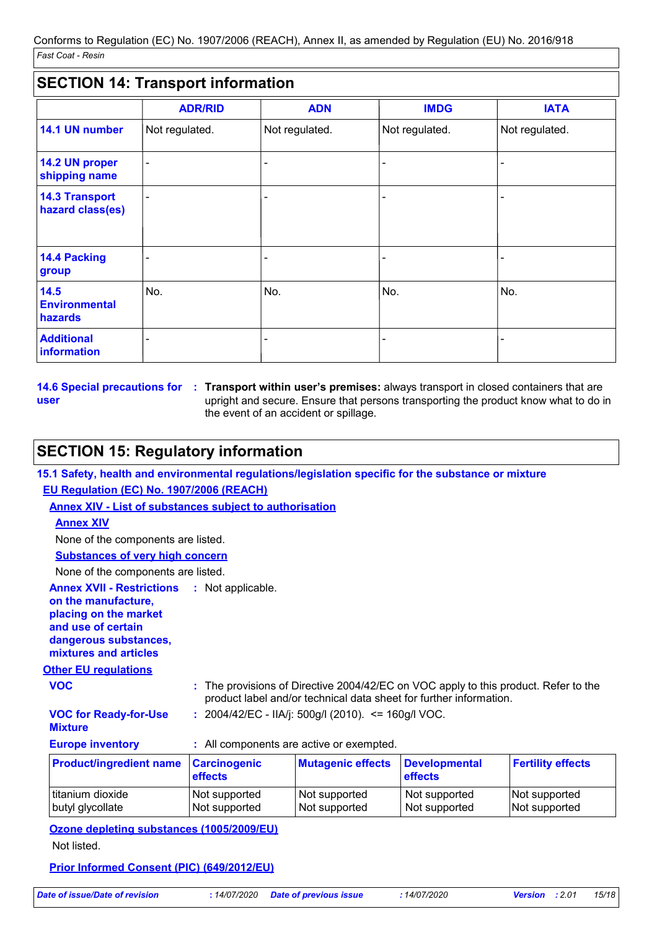### **SECTION 14: Transport information**

|                                           | <b>ADR/RID</b> | <b>ADN</b>     | <b>IMDG</b>    | <b>IATA</b>    |
|-------------------------------------------|----------------|----------------|----------------|----------------|
| 14.1 UN number                            | Not regulated. | Not regulated. | Not regulated. | Not regulated. |
| 14.2 UN proper<br>shipping name           |                |                |                |                |
| <b>14.3 Transport</b><br>hazard class(es) |                |                |                |                |
| 14.4 Packing<br>group                     |                |                |                |                |
| 14.5<br><b>Environmental</b><br>hazards   | No.            | No.            | No.            | No.            |
| <b>Additional</b><br>information          |                |                |                |                |

**14.6 Special precautions for : Transport within user's premises: always transport in closed containers that are user** upright and secure. Ensure that persons transporting the product know what to do in the event of an accident or spillage.

### **SECTION 15: Regulatory information**

**15.1 Safety, health and environmental regulations/legislation specific for the substance or mixture**

### **EU Regulation (EC) No. 1907/2006 (REACH)**

**Annex XIV - List of substances subject to authorisation**

#### **Annex XIV**

None of the components are listed.

**Substances of very high concern**

None of the components are listed.

| <b>Annex XVII - Restrictions : Not applicable.</b> |  |
|----------------------------------------------------|--|
| on the manufacture,                                |  |
| placing on the market                              |  |
| and use of certain                                 |  |
| dangerous substances,                              |  |
| mixtures and articles                              |  |

#### **Other EU regulations**

**VOC :** The provisions of Directive 2004/42/EC on VOC apply to this product. Refer to the product label and/or technical data sheet for further information.

# **VOC for Ready-for-Use**

**:** 2004/42/EC - IIA/j: 500g/l (2010). <= 160g/l VOC.

| <b>Mixture</b> |                         |
|----------------|-------------------------|
|                | <b>Europe inventory</b> |

| All components are active or exempted |  |  |  |  |  |  |  |  |  |
|---------------------------------------|--|--|--|--|--|--|--|--|--|
|---------------------------------------|--|--|--|--|--|--|--|--|--|

| <b>Product/ingredient name</b> | <b>Carcinogenic</b><br><b>effects</b> | <b>Mutagenic effects</b> | <b>Developmental</b><br><b>effects</b> | <b>Fertility effects</b> |
|--------------------------------|---------------------------------------|--------------------------|----------------------------------------|--------------------------|
| titanium dioxide               | Not supported                         | Not supported            | Not supported                          | Not supported            |
| butyl glycollate               | Not supported                         | Not supported            | Not supported                          | Not supported            |

### **Ozone depleting substances (1005/2009/EU)**

Not listed.

### **Prior Informed Consent (PIC) (649/2012/EU)**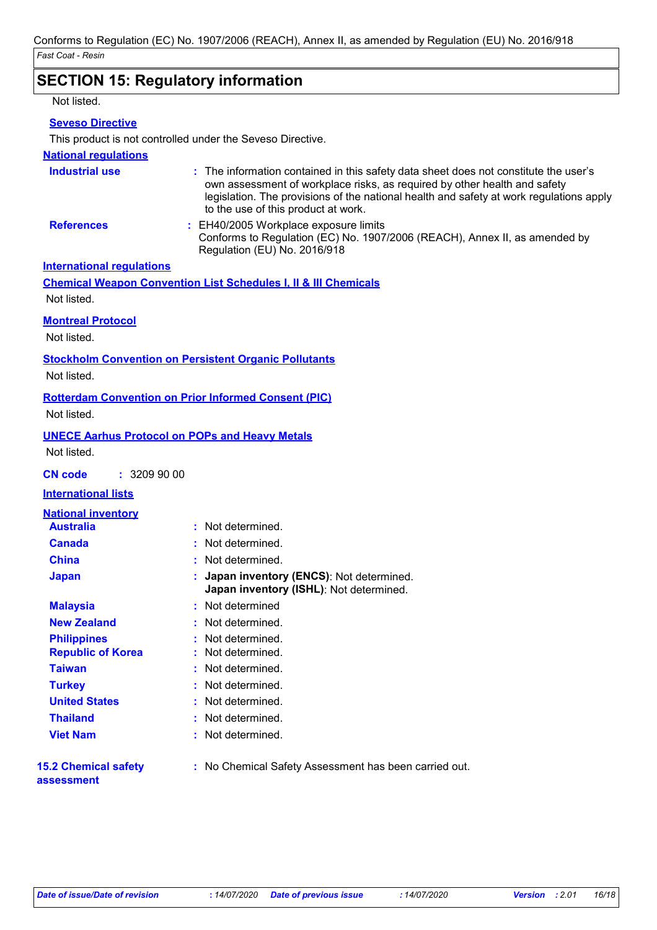# **SECTION 15: Regulatory information**

Not listed.

### **Seveso Directive**

This product is not controlled under the Seveso Directive.

### **National regulations**

| <b>Industrial use</b>            | : The information contained in this safety data sheet does not constitute the user's<br>own assessment of workplace risks, as required by other health and safety<br>legislation. The provisions of the national health and safety at work regulations apply<br>to the use of this product at work. |
|----------------------------------|-----------------------------------------------------------------------------------------------------------------------------------------------------------------------------------------------------------------------------------------------------------------------------------------------------|
| <b>References</b>                | : EH40/2005 Workplace exposure limits<br>Conforms to Regulation (EC) No. 1907/2006 (REACH), Annex II, as amended by<br>Regulation (EU) No. 2016/918                                                                                                                                                 |
| <b>International regulations</b> |                                                                                                                                                                                                                                                                                                     |

**Chemical Weapon Convention List Schedules I, II & III Chemicals** Not listed.

### **Montreal Protocol**

Not listed.

#### **Stockholm Convention on Persistent Organic Pollutants**

Not listed.

### **Rotterdam Convention on Prior Informed Consent (PIC)**

Not listed.

#### **UNECE Aarhus Protocol on POPs and Heavy Metals**

Not listed.

**CN code :** 3209 90 00

### **International lists**

| <b>National inventory</b>                 |                                                                                      |
|-------------------------------------------|--------------------------------------------------------------------------------------|
| <b>Australia</b>                          | : Not determined.                                                                    |
| <b>Canada</b>                             | : Not determined.                                                                    |
| <b>China</b>                              | : Not determined.                                                                    |
| <b>Japan</b>                              | : Japan inventory (ENCS): Not determined.<br>Japan inventory (ISHL): Not determined. |
| <b>Malaysia</b>                           | : Not determined                                                                     |
| <b>New Zealand</b>                        | : Not determined.                                                                    |
| <b>Philippines</b>                        | : Not determined.                                                                    |
| <b>Republic of Korea</b>                  | : Not determined.                                                                    |
| <b>Taiwan</b>                             | : Not determined.                                                                    |
| <b>Turkey</b>                             | : Not determined.                                                                    |
| <b>United States</b>                      | : Not determined.                                                                    |
| <b>Thailand</b>                           | : Not determined.                                                                    |
| <b>Viet Nam</b>                           | : Not determined.                                                                    |
| <b>15.2 Chemical safety</b><br>assessment | : No Chemical Safety Assessment has been carried out.                                |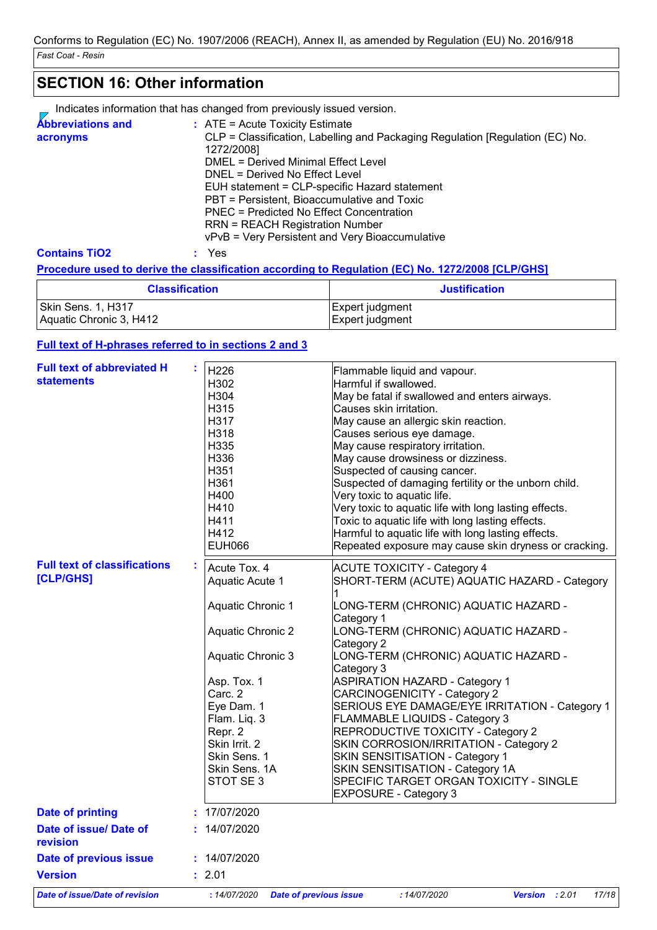# **SECTION 16: Other information**

Indicates information that has changed from previously issued version.

| <b>Abbreviations and</b><br>acronyms | $\therefore$ ATE = Acute Toxicity Estimate<br>CLP = Classification, Labelling and Packaging Regulation [Regulation (EC) No.<br>1272/2008]<br>DMEL = Derived Minimal Effect Level<br>DNEL = Derived No Effect Level<br>EUH statement = CLP-specific Hazard statement<br>PBT = Persistent, Bioaccumulative and Toxic<br>PNEC = Predicted No Effect Concentration<br><b>RRN = REACH Registration Number</b> |
|--------------------------------------|----------------------------------------------------------------------------------------------------------------------------------------------------------------------------------------------------------------------------------------------------------------------------------------------------------------------------------------------------------------------------------------------------------|
| <b>Contains TiO2</b>                 | vPvB = Very Persistent and Very Bioaccumulative<br>Yes                                                                                                                                                                                                                                                                                                                                                   |

### **Procedure used to derive the classification according to Regulation (EC) No. 1272/2008 [CLP/GHS]**

| <b>Classification</b>   | <b>Justification</b> |
|-------------------------|----------------------|
| Skin Sens. 1, H317      | Expert judgment      |
| Aquatic Chronic 3, H412 | Expert judgment      |

### **Full text of H-phrases referred to in sections 2 and 3**

| <b>Full text of abbreviated H</b><br><b>statements</b> |  | H226<br>H302<br>H304<br>H315<br>H317<br>H318<br>H335<br>H336<br>H351<br>H361<br>H400<br>H410<br>H411<br>H412<br><b>EUH066</b>                                                                                                                         | Flammable liquid and vapour.<br>Harmful if swallowed.<br>May be fatal if swallowed and enters airways.<br>Causes skin irritation.<br>May cause an allergic skin reaction.<br>Causes serious eye damage.<br>May cause respiratory irritation.<br>May cause drowsiness or dizziness.<br>Suspected of causing cancer.<br>Suspected of damaging fertility or the unborn child.<br>Very toxic to aquatic life.<br>Very toxic to aquatic life with long lasting effects.<br>Toxic to aquatic life with long lasting effects.<br>Harmful to aquatic life with long lasting effects.<br>Repeated exposure may cause skin dryness or cracking.                      |
|--------------------------------------------------------|--|-------------------------------------------------------------------------------------------------------------------------------------------------------------------------------------------------------------------------------------------------------|------------------------------------------------------------------------------------------------------------------------------------------------------------------------------------------------------------------------------------------------------------------------------------------------------------------------------------------------------------------------------------------------------------------------------------------------------------------------------------------------------------------------------------------------------------------------------------------------------------------------------------------------------------|
| <b>Full text of classifications</b><br>t<br>[CLP/GHS]  |  | Acute Tox. 4<br>Aquatic Acute 1<br><b>Aquatic Chronic 1</b><br><b>Aquatic Chronic 2</b><br><b>Aquatic Chronic 3</b><br>Asp. Tox. 1<br>Carc. 2<br>Eye Dam. 1<br>Flam. Liq. 3<br>Repr. 2<br>Skin Irrit. 2<br>Skin Sens. 1<br>Skin Sens. 1A<br>STOT SE 3 | <b>ACUTE TOXICITY - Category 4</b><br>SHORT-TERM (ACUTE) AQUATIC HAZARD - Category<br>LONG-TERM (CHRONIC) AQUATIC HAZARD -<br>Category 1<br>LONG-TERM (CHRONIC) AQUATIC HAZARD -<br>Category 2<br>LONG-TERM (CHRONIC) AQUATIC HAZARD -<br>Category 3<br><b>ASPIRATION HAZARD - Category 1</b><br>CARCINOGENICITY - Category 2<br>SERIOUS EYE DAMAGE/EYE IRRITATION - Category 1<br><b>FLAMMABLE LIQUIDS - Category 3</b><br>REPRODUCTIVE TOXICITY - Category 2<br>SKIN CORROSION/IRRITATION - Category 2<br>SKIN SENSITISATION - Category 1<br>SKIN SENSITISATION - Category 1A<br>SPECIFIC TARGET ORGAN TOXICITY - SINGLE<br><b>EXPOSURE - Category 3</b> |
| <b>Date of printing</b>                                |  | : 17/07/2020                                                                                                                                                                                                                                          |                                                                                                                                                                                                                                                                                                                                                                                                                                                                                                                                                                                                                                                            |
| Date of issue/ Date of<br>revision                     |  | 14/07/2020                                                                                                                                                                                                                                            |                                                                                                                                                                                                                                                                                                                                                                                                                                                                                                                                                                                                                                                            |
| Date of previous issue                                 |  | : 14/07/2020                                                                                                                                                                                                                                          |                                                                                                                                                                                                                                                                                                                                                                                                                                                                                                                                                                                                                                                            |
| <b>Version</b>                                         |  | : 2.01                                                                                                                                                                                                                                                |                                                                                                                                                                                                                                                                                                                                                                                                                                                                                                                                                                                                                                                            |
| <b>Date of issue/Date of revision</b>                  |  | :14/07/2020<br><b>Date of previous issue</b>                                                                                                                                                                                                          | Version : 2.01<br>:14/07/2020<br>17/18                                                                                                                                                                                                                                                                                                                                                                                                                                                                                                                                                                                                                     |